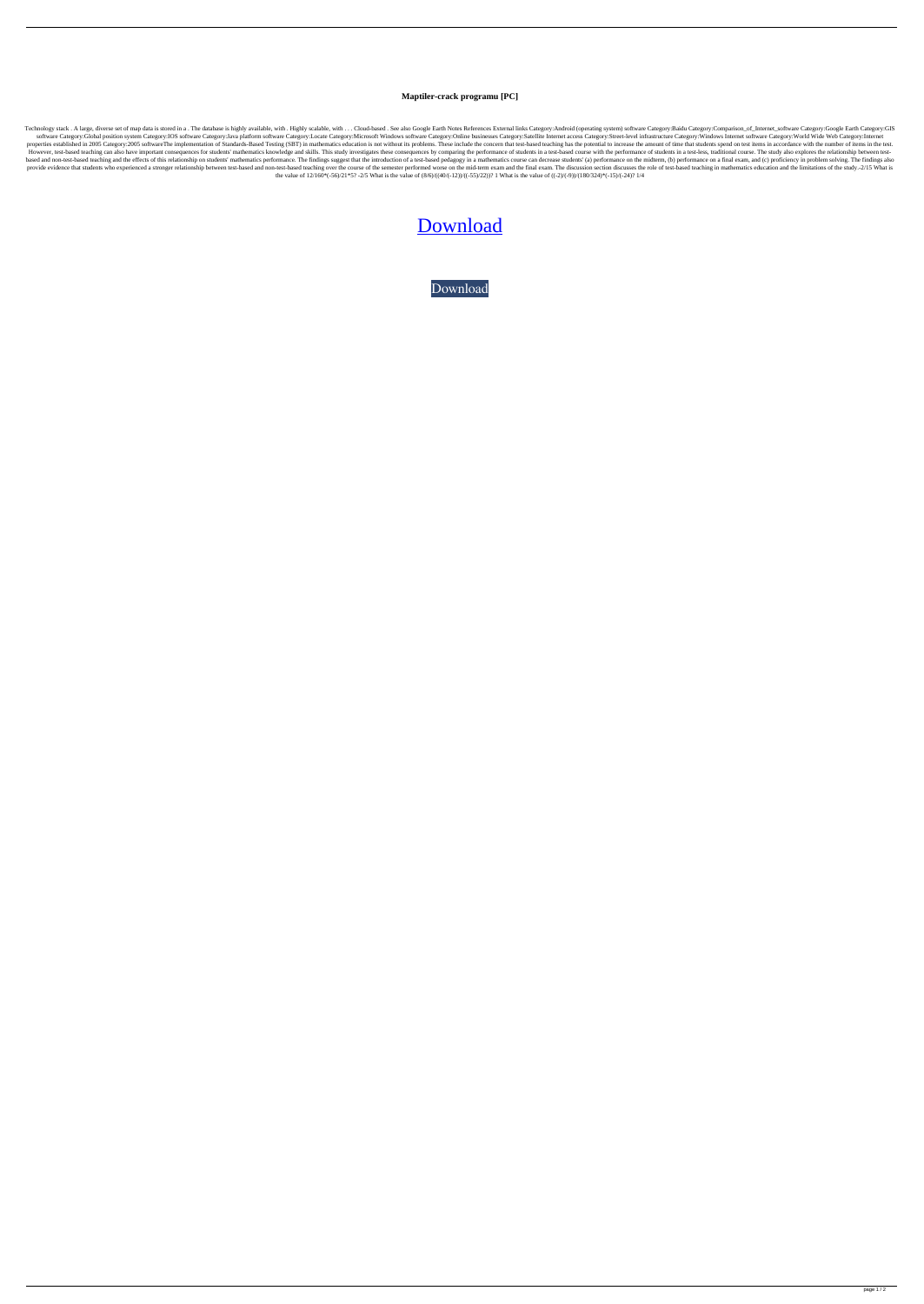## **Maptiler-crack programu [PC]**

Technology stack. A large, diverse set of map data is stored in a. The database is highly available, with. Highly scalable, with ... Cloud-based. See also Google Earth Notes References External links Category:Android (oper software Category:Global position system Category:IOS software Category:Java platform software Category:Locate Category:Microsoft Windows software Category:Online businesses Category:Satellite Internet access Category:Stre properties established in 2005 Category:2005 softwareThe implementation of Standards-Based Testing (SBT) in mathematics education is not without its problems. These include the concern that test-based teaching has the pote However, test-based teaching can also have important consequences for students' mathematics knowledge and skills. This study investigates these consequences by comparing the performance of students in a test-based course w based and non-test-based teaching and the effects of this relationship on students' mathematics performance. The findings suggest that the introduction of a test-based pedagogy in a mathematics course can decrease students provide evidence that students who experienced a stronger relationship between test-based and non-test-based teaching over the course of the semester performed worse on the mid-term exam and the final exam. The discussion the value of  $12/160^*(-56)/21^*5$ ? -2/5 What is the value of  $(8/6)/((40/(-12))/((-55)/22))$ ? 1 What is the value of  $((-2)/(-9))/(180/324)^*(-15)/(-24)$ ? 1/4

## [Download](https://urllie.com/2l148e)